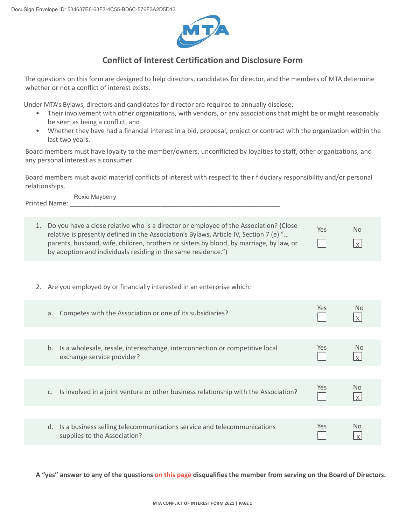

## **Conflict of Interest Certification and Disclosure Form**

The questions on this form are designed to help directors, candidates for director, and the members of MTA determine whether or not a conflict of interest exists.

Under MTA's Bylaws, directors and candidates for director are required to annually disclose:

- Their involvement with other organizations, with vendors, or any associations that might be or might reasonably be seen as being a conflict, and
- Whether they have had a financial interest in a bid, proposal, project or contract with the organization within the last two years.

Board members must have loyalty to the member/owners, unconflicted by loyalties to staff, other organizations, and any personal interest as a consumer.

Board members must avoid material conflicts of interest with respect to their fiduciary responsibility and/or personal relationships.

Printed Name: \_ Roxie Mayberry

| 1. Do you have a close relative who is a director or employee of the Association? (Close<br>relative is presently defined in the Association's Bylaws, Article IV, Section 7 (e) "<br>parents, husband, wife, children, brothers or sisters by blood, by marriage, by law, or<br>by adoption and individuals residing in the same residence.") | Yes | <b>No</b><br>$\vert x \vert$ |
|------------------------------------------------------------------------------------------------------------------------------------------------------------------------------------------------------------------------------------------------------------------------------------------------------------------------------------------------|-----|------------------------------|

2. Are you employed by or financially interested in an enterprise which:

| Competes with the Association or one of its subsidiaries?<br>а.                                                 | Yes.       | No.            |
|-----------------------------------------------------------------------------------------------------------------|------------|----------------|
|                                                                                                                 |            |                |
| Is a wholesale, resale, interexchange, interconnection or competitive local<br>b.<br>exchange service provider? | Yes        | No.            |
|                                                                                                                 |            |                |
| Is involved in a joint venture or other business relationship with the Association?<br>C.                       | <b>Yes</b> | N <sub>o</sub> |
|                                                                                                                 |            |                |
| Is a business selling telecommunications service and telecommunications<br>d.<br>supplies to the Association?   | <b>Yes</b> | No             |

**A "yes" answer to any of the questions on this page disqualifies the member from serving on the Board of Directors.**